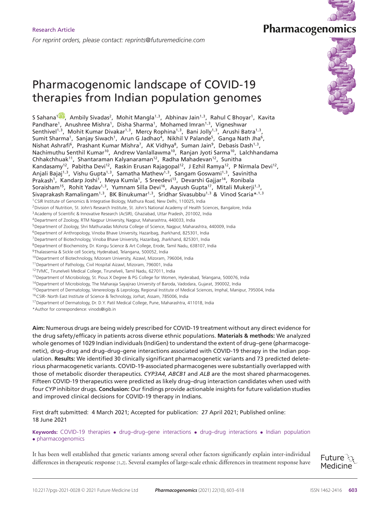# Pharmacogenomic landscape of COVID-19 therapies from Indian population genomes

S Sahana<sup>1889</sup>, Ambily Sivadas<sup>2</sup>, Mohit Mangla<sup>1,3</sup>, Abhinav Jain<sup>1,3</sup>, Rahul C Bhoyar<sup>1</sup>, Kavita Pandhare<sup>1</sup>, Anushree Mishra<sup>1</sup>, Disha Sharma<sup>1</sup>, Mohamed Imran<sup>1,3</sup>, Vigneshwar Senthivel<sup>1,3</sup>, Mohit Kumar Divakar<sup>1,3</sup>, Mercy Rophina<sup>1,3</sup>, Bani Jolly<sup>1,3</sup>, Arushi Batra<sup>1,3</sup>, Sumit Sharma<sup>1</sup>, Sanjay Siwach<sup>1</sup>, Arun G Jadhao<sup>4</sup>, Nikhil V Palande<sup>5</sup>, Ganga Nath Jha<sup>6</sup>, Nishat Ashrafi<sup>6</sup>, Prashant Kumar Mishra<sup>7</sup>, AK Vidhya<sup>8</sup>, Suman Jain<sup>9</sup>, Debasis Dash<sup>1,3</sup>, Nachimuthu Senthil Kumar<sup>10</sup>, Andrew Vanlallawma<sup>10</sup>, Ranjan Jyoti Sarma<sup>10</sup>, Lalchhandama Chhakchhuak<sup>11</sup>, Shantaraman Kalyanaraman<sup>12</sup>, Radha Mahadevan<sup>12</sup>, Sunitha Kandasamy $^{12}$ , Pabitha Devi $^{12}$ , Raskin Erusan Rajagopal $^{12}$ , J Ezhil Ramya $^{12}$ , P Nirmala Devi $^{12}$ , Anjali Bajaj<sup>1,3</sup>, Vishu Gupta<sup>1,3</sup>, Samatha Mathew<sup>1,3</sup>, Sangam Goswami<sup>1,3</sup>, Savinitha Prakash<sup>1</sup>, Kandarp Joshi<sup>1</sup>, Meya Kumla<sup>1</sup>, S Sreedevi<sup>13</sup>, Devarshi Gajjar<sup>14</sup>, Ronibala Soraisham<sup>15</sup>, Rohit Yadav<sup>1,3</sup>, Yumnam Silla Devi<sup>16</sup>, Aayush Gupta<sup>17</sup>, Mitali Mukerji<sup>1,3</sup>, Sivaprakash Ramalingam<sup>1,3</sup>, BK Binukumar<sup>1,3</sup>, Sridhar Sivasubbu<sup>1,3</sup> & Vinod Scaria\*<sup>,1,3</sup> <sup>1</sup>CSIR Institute of Genomics & Integrative Biology, Mathura Road, New Delhi, 110025, India <sup>2</sup> Division of Nutrition, St. John's Research Institute, St. John's National Academy of Health Sciences, Bangalore, India <sup>3</sup> Academy of Scientific & Innovative Research (AcSIR), Ghaziabad, Uttar Pradesh, 201002, India <sup>4</sup>Department of Zoology, RTM Nagpur University, Nagpur, Maharashtra, 440033, India <sup>5</sup>Department of Zoology, Shri Mathuradas Mohota College of Science, Nagpur, Maharashtra, 440009, India <sup>6</sup>Department of Anthropology, Vinoba Bhave University, Hazaribag, Jharkhand, 825301, India <sup>7</sup>Department of Biotechnology, Vinoba Bhave University, Hazaribag, Jharkhand, 825301, India <sup>8</sup>Department of Biochemistry, Dr. Kongu Science & Art College, Erode, Tamil Nadu, 638107, India 9Thalassemia & Sickle cell Society, Hyderabad, Telangana, 500052, India <sup>10</sup>Department of Biotechnology, Mizoram University, Aizawl, Mizoram, 796004, India <sup>11</sup>Department of Pathology, Civil Hospital Aizawl, Mizoram, 796001, India <sup>12</sup>TVMC, Tirunelveli Medical College, Tirunelveli, Tamil Nadu, 627011, India <sup>13</sup>Department of Microbiology, St. Pious X Degree & PG College for Women, Hyderabad, Telangana, 500076, India <sup>14</sup>Department of Microbiology, The Maharaja Sayajirao University of Baroda, Vadodara, Gujarat, 390002, India <sup>15</sup>Department of Dermatology, Venereology & Leprology, Regional Institute of Medical Sciences, Imphal, Manipur, 795004, India

<sup>16</sup>CSIR- North East Institute of Science & Technology, Jorhat, Assam, 785006, India

<sup>17</sup> Department of Dermatology, Dr. D.Y. Patil Medical College, Pune, Maharashtra, 411018, India

\*Author for correspondence: vinods@igib.in

**Aim:** Numerous drugs are being widely prescribed for COVID-19 treatment without any direct evidence for the drug safety/efficacy in patients across diverse ethnic populations. **Materials & methods:** We analyzed whole genomes of 1029 Indian individuals (IndiGen) to understand the extent of drug–gene (pharmacogenetic), drug–drug and drug–drug–gene interactions associated with COVID-19 therapy in the Indian population. **Results:** We identified 30 clinically significant pharmacogenetic variants and 73 predicted deleterious pharmacogenetic variants. COVID-19-associated pharmacogenes were substantially overlapped with those of metabolic disorder therapeutics. *CYP3A4*, *ABCB1* and *ALB* are the most shared pharmacogenes. Fifteen COVID-19 therapeutics were predicted as likely drug–drug interaction candidates when used with four *CYP* inhibitor drugs. **Conclusion:** Our findings provide actionable insights for future validation studies and improved clinical decisions for COVID-19 therapy in Indians.

First draft submitted: 4 March 2021; Accepted for publication: 27 April 2021; Published online: 18 June 2021

**Keywords:** COVID-19 therapies • drug–drug–gene interactions • drug–drug interactions • Indian population • pharmacogenomics

It has been well established that genetic variants among several other factors significantly explain inter-individual differences in therapeutic response[1,2]. Several examples of large-scale ethnic differences in treatment response have





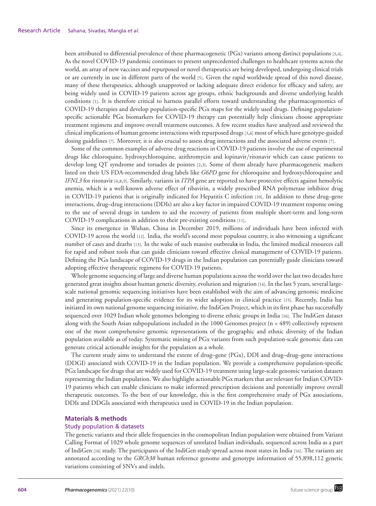been attributed to differential prevalence of these pharmacogenetic (PGx) variants among distinct populations [3,4]. As the novel COVID-19 pandemic continues to present unprecedented challenges to healthcare systems across the world, an array of new vaccines and repurposed or novel therapeutics are being developed, undergoing clinical trials or are currently in use in different parts of the world [5]. Given the rapid worldwide spread of this novel disease, many of these therapeutics, although unapproved or lacking adequate direct evidence for efficacy and safety, are being widely used in COVID-19 patients across age groups, ethnic backgrounds and diverse underlying health conditions [1]. It is therefore critical to harness parallel efforts toward understanding the pharmacogenomics of COVID-19 therapies and develop population-specific PGx maps for the widely used drugs. Defining populationspecific actionable PGx biomarkers for COVID-19 therapy can potentially help clinicians choose appropriate treatment regimens and improve overall treatment outcomes. A few recent studies have analyzed and reviewed the clinical implications of human genome interactions with repurposed drugs [3,6] most of which have genotype-guided dosing guidelines [7]. Moreover, it is also crucial to assess drug interactions and the associated adverse events [7].

Some of the common examples of adverse drug reactions in COVID-19 patients involve the use of experimental drugs like chloroquine, hydroxychloroquine, azithromycin and lopinavir/ritonavir which can cause patients to develop long QT syndrome and torsades de pointes [2,3]. Some of them already have pharmacogenetic markers listed on their US FDA-recommended drug labels like *G6PD* gene for chloroquine and hydroxychloroquine and *IFNL3* for ritonavir [4,8,9]. Similarly, variants in *ITPA* gene are reported to have protective effects against hemolytic anemia, which is a well-known adverse effect of ribavirin, a widely prescribed RNA polymerase inhibitor drug in COVID-19 patients that is originally indicated for Hepatitis C infection [10]. In addition to these drug–gene interactions, drug–drug interactions (DDIs) are also a key factor in impaired COVID-19 treatment response owing to the use of several drugs in tandem to aid the recovery of patients from multiple short-term and long-term COVID-19 complications in addition to their pre-existing conditions [11].

Since its emergence in Wuhan, China in December 2019, millions of individuals have been infected with COVID-19 across the world [12]. India, the world's second most populous country, is also witnessing a significant number of cases and deaths [13]. In the wake of such massive outbreak**s** in India, the limited medical resources call for rapid and robust tools that can guide clinicians toward effective clinical management of COVID-19 patients. Defining the PGx landscape of COVID-19 drugs in the Indian population can potentially guide clinicians toward adopting effective therapeutic regimens for COVID-19 patients.

Whole genome sequencing of large and diverse human populations across the world over the last two decades have generated great insights about human genetic diversity, evolution and migration [14]. In the last 5 years, several largescale national genomic sequencing initiatives have been established with the aim of advancing genomic medicine and generating population-specific evidence for its wider adoption in clinical practice [15]. Recently, India has initiated its own national genome sequencing initiative, the IndiGen Project, which in its first phase has successfully sequenced over 1029 Indian whole genomes belonging to diverse ethnic groups in India [16]. The IndiGen dataset along with the South Asian subpopulations included in the 1000 Genomes project (n = 489) collectively represent one of the most comprehensive genomic representations of the geographic and ethnic diversity of the Indian population available as of today. Systematic mining of PGx variants from such population-scale genomic data can generate critical actionable insights for the population as a whole.

The current study aims to understand the extent of drug–gene (PGx), DDI and drug–drug–gene interactions (DDGI) associated with COVID-19 in the Indian population. We provide a comprehensive population-specific PGx landscape for drugs that are widely used for COVID-19 treatment using large-scale genomic variation datasets representing the Indian population. We also highlight actionable PGx markers that are relevant for Indian COVID-19 patients which can enable clinicians to make informed prescription decisions and potentially improve overall therapeutic outcomes. To the best of our knowledge, this is the first comprehensive study of PGx associations, DDIs and DDGIs associated with therapeutics used in COVID-19 in the Indian population.

## **Materials & methods**

# Study population & datasets

The genetic variants and their allele frequencies in the cosmopolitan Indian population were obtained from Variant Calling Format of 1029 whole genome sequences of unrelated Indian individuals, sequenced across India as a part of IndiGen [16] study. The participants of the IndiGen study spread across most states in India [16]. The variants are annotated according to the *GRCh38* human reference genome and genotype information of 55,898,112 genetic variations consisting of SNVs and indels.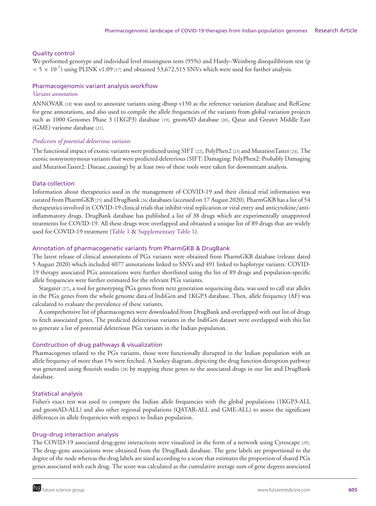# Quality control

We performed genotype and individual level missingness tests (95%) and Hardy–Weinberg disequilibrium test (p  $< 5 \times 10^{-7}$ ) using PLINK v1.09 [17] and obtained 53,672,515 SNVs which were used for further analysis.

# Pharmacogenomic variant analysis workflow

# *Variant annotation*

ANNOVAR [18] was used to annotate variants using dbsnp v150 as the reference variation database and RefGene for gene annotations, and also used to compile the allele frequencies of the variants from global variation projects such as 1000 Genomes Phase 3 (1KGP3) database [19], gnomAD database [20], Qatar and Greater Middle East (GME) variome database [21].

# *Prediction of potential deleterious variants*

The functional impact of exonic variants were predicted using SIFT [22], PolyPhen2 [23] and MutationTaster [24]. The exonic nonsynonymous variants that were predicted deleterious (SIFT: Damaging; PolyPhen2: Probably Damaging and MutationTaster2: Disease causing) by at least two of these tools were taken for downstream analysis.

# Data collection

Information about therapeutics used in the management of COVID-19 and their clinical trial information was curated from PharmGKB [25] and DrugBank [26] databases (accessed on 17 August 2020). PharmGKB has a list of 54 therapeutics involved in COVID-19 clinical trials that inhibit viral replication or viral entry and anticytokine/antiinflammatory drugs. DrugBank database has published a list of 38 drugs which are experimentally unapproved treatments for COVID-19. All these drugs were overlapped and obtained a unique list of 89 drugs that are widely used for COVID-19 treatment (Table 1 & Supplementary Table 1).

# Annotation of pharmacogenetic variants from PharmGKB & DrugBank

The latest release of clinical annotations of PGx variants were obtained from PharmGKB database (release dated 5 August 2020) which included 4077 annotations linked to SNVs and 491 linked to haplotype variants. COVID-19 therapy associated PGx annotations were further shortlisted using the list of 89 drugs and population-specific allele frequencies were further estimated for the relevant PGx variants.

Stargazer [27], a tool for genotyping PGx genes from next generation sequencing data, was used to call star alleles in the PGx genes from the whole genome data of IndiGen and 1KGP3 database. Then, allele frequency (AF) was calculated to evaluate the prevalence of these variants.

A comprehensive list of pharmacogenes were downloaded from DrugBank and overlapped with our list of drugs to fetch associated genes. The predicted deleterious variants in the IndiGen dataset were overlapped with this list to generate a list of potential deleterious PGx variants in the Indian population.

# Construction of drug pathways & visualization

Pharmacogenes related to the PGx variants, those were functionally disrupted in the Indian population with an allele frequency of more than 1% were fetched. A Sankey diagram, depicting the drug function disruption pathway was generated using flourish studio [28] by mapping these genes to the associated drugs in our list and DrugBank database.

# Statistical analysis

Fisher's exact test was used to compare the Indian allele frequencies with the global populations (1KGP3-ALL and gnomAD-ALL) and also other regional populations (QATAR-ALL and GME-ALL) to assess the significant differences in allele frequencies with respect to Indian population.

## Drug–drug interaction analysis

The COVID-19 associated drug-gene interactions were visualized in the form of a network using Cytoscape [29]. The drug–gene associations were obtained from the DrugBank database. The gene labels are proportional to the degree of the node whereas the drug labels are sized according to a score that estimates the proportion of shared PGx genes associated with each drug. The score was calculated as the cumulative average sum of gene degrees associated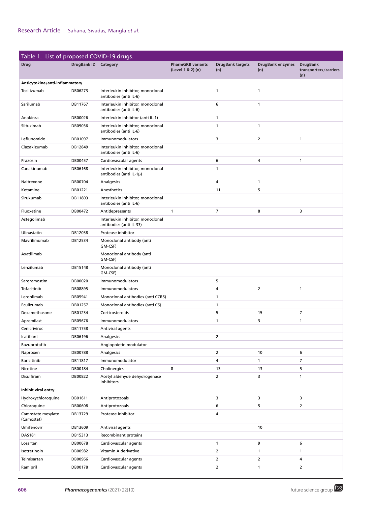| Table 1. List of proposed COVID-19 drugs. |                      |                                                                      |                                               |                                |                                |                                                 |
|-------------------------------------------|----------------------|----------------------------------------------------------------------|-----------------------------------------------|--------------------------------|--------------------------------|-------------------------------------------------|
| <b>Drug</b>                               | DrugBank ID Category |                                                                      | <b>PharmGKB variants</b><br>(Level 1 & 2) (n) | <b>DrugBank targets</b><br>(n) | <b>DrugBank enzymes</b><br>(n) | <b>DrugBank</b><br>transporters/carriers<br>(n) |
| Anticytokine/anti-inflammatory            |                      |                                                                      |                                               |                                |                                |                                                 |
| Tocilizumab                               | DB06273              | Interleukin inhibitor, monoclonal<br>antibodies (anti IL-6)          |                                               | 1                              | $\mathbf{1}$                   |                                                 |
| Sarilumab                                 | DB11767              | Interleukin inhibitor, monoclonal<br>antibodies (anti IL-6)          |                                               | 6                              | $\mathbf{1}$                   |                                                 |
| Anakinra                                  | DB00026              | Interleukin inhibitor (anti IL-1)                                    |                                               | 1                              |                                |                                                 |
| Siltuximab                                | DB09036              | Interleukin inhibitor, monoclonal<br>antibodies (anti IL-6)          |                                               | 1                              | $\mathbf{1}$                   |                                                 |
| Leflunomide                               | DB01097              | Immunomodulators                                                     |                                               | 3                              | $\overline{2}$                 | $\mathbf{1}$                                    |
| Clazakizumab                              | DB12849              | Interleukin inhibitor, monoclonal<br>antibodies (anti IL-6)          |                                               |                                |                                |                                                 |
| Prazosin                                  | DB00457              | Cardiovascular agents                                                |                                               | 6                              | 4                              | $\mathbf{1}$                                    |
| Canakinumab                               | DB06168              | Interleukin inhibitor, monoclonal<br>antibodies (anti IL-1 $\beta$ ) |                                               | 1                              |                                |                                                 |
| Naltrexone                                | DB00704              | Analgesics                                                           |                                               | 4                              | $\mathbf{1}$                   |                                                 |
| Ketamine                                  | DB01221              | Anesthetics                                                          |                                               | 11                             | 5                              |                                                 |
| Sirukumab                                 | DB11803              | Interleukin inhibitor, monoclonal<br>antibodies (anti IL-6)          |                                               |                                |                                |                                                 |
| Fluoxetine                                | DB00472              | Antidepressants                                                      | $\mathbf{1}$                                  | 7                              | 8                              | 3                                               |
| Astegolimab                               |                      | Interleukin inhibitor, monoclonal<br>antibodies (anti IL-33)         |                                               |                                |                                |                                                 |
| Ulinastatin                               | DB12038              | Protease inhibitor                                                   |                                               |                                |                                |                                                 |
| Mavrilimumab                              | DB12534              | Monoclonal antibody (anti<br>GM-CSF)                                 |                                               |                                |                                |                                                 |
| Axatilimab                                |                      | Monoclonal antibody (anti<br>GM-CSF)                                 |                                               |                                |                                |                                                 |
| Lenzilumab                                | DB15148              | Monoclonal antibody (anti<br>GM-CSF)                                 |                                               |                                |                                |                                                 |
| Sargramostim                              | DB00020              | Immunomodulators                                                     |                                               | 5                              |                                |                                                 |
| Tofacitinib                               | DB08895              | Immunomodulators                                                     |                                               | 4                              | $\overline{2}$                 | $\mathbf{1}$                                    |
| Leronlimab                                | DB05941              | Monoclonal antibodies (anti CCR5)                                    |                                               | 1                              |                                |                                                 |
| Eculizumab                                | DB01257              | Monoclonal antibodies (anti C5)                                      |                                               | 1                              |                                |                                                 |
| Dexamethasone                             | DB01234              | Corticosteroids                                                      |                                               | 5                              | 15                             | 7                                               |
| Apremilast                                | DB05676              | Immunomodulators                                                     |                                               | 1                              | 3                              | $\mathbf{1}$                                    |
| Cenicriviroc                              | DB11758              | Antiviral agents                                                     |                                               |                                |                                |                                                 |
| Icatibant                                 | DB06196              | Analgesics                                                           |                                               | 2                              |                                |                                                 |
| Razuprotafib                              |                      | Angiopoietin modulator                                               |                                               |                                |                                |                                                 |
| Naproxen                                  | DB00788              | Analgesics                                                           |                                               | $\overline{2}$                 | 10                             | 6                                               |
| Baricitinib                               | DB11817              | Immunomodulator                                                      |                                               | 4                              | $\mathbf{1}$                   | $\overline{7}$                                  |
| Nicotine                                  | DB00184              | Cholinergics                                                         | 8                                             | 13                             | 13                             | 5                                               |
| Disulfiram                                | DB00822              | Acetyl aldehyde dehydrogenase<br>inhibitors                          |                                               | $\overline{2}$                 | 3                              | $\mathbf{1}$                                    |
| Inhibit viral entry                       |                      |                                                                      |                                               |                                |                                |                                                 |
| Hydroxychloroquine                        | DB01611              | Antiprotozoals                                                       |                                               | 3                              | 3                              | 3                                               |
| Chloroquine                               | DB00608              | Antiprotozoals                                                       |                                               | 6                              | 5                              | $\overline{2}$                                  |
| Camostate mesylate<br>(Camostat)          | DB13729              | Protease inhibitor                                                   |                                               | 4                              |                                |                                                 |
| Umifenovir                                | DB13609              | Antiviral agents                                                     |                                               |                                | 10                             |                                                 |
| DAS181                                    | DB15313              | Recombinant proteins                                                 |                                               |                                |                                |                                                 |
| Losartan                                  | DB00678              | Cardiovascular agents                                                |                                               | $\mathbf{1}$                   | 9                              | 6                                               |
| Isotretinoin                              | DB00982              | Vitamin A derivative                                                 |                                               | $\overline{2}$                 | $\mathbf{1}$                   | $\mathbf{1}$                                    |
| Telmisartan                               | DB00966              | Cardiovascular agents                                                |                                               | 2                              | $\overline{2}$                 | 4                                               |
| Ramipril                                  | DB00178              | Cardiovascular agents                                                |                                               | $\overline{2}$                 | $\mathbf{1}$                   | $\overline{2}$                                  |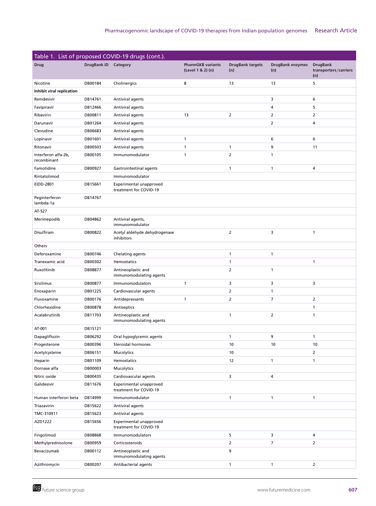|                                    |                    | Table 1. List of proposed COVID-19 drugs (cont.). |                                               |                                |                                |                                                 |
|------------------------------------|--------------------|---------------------------------------------------|-----------------------------------------------|--------------------------------|--------------------------------|-------------------------------------------------|
| <b>Drug</b>                        | <b>DrugBank ID</b> | Category                                          | <b>PharmGKB variants</b><br>(Level 1 & 2) (n) | <b>DrugBank targets</b><br>(n) | <b>DrugBank enzymes</b><br>(n) | <b>DrugBank</b><br>transporters/carriers<br>(n) |
| Nicotine                           | DB00184            | Cholinergics                                      | 8                                             | 13                             | 13                             | 5                                               |
| Inhibit viral replication          |                    |                                                   |                                               |                                |                                |                                                 |
| Remdesivir                         | DB14761            | Antiviral agents                                  |                                               |                                | 3                              | 6                                               |
| Favipiravir                        | DB12466            | Antiviral agents                                  |                                               |                                | 4                              | 5                                               |
| Ribavirin                          | DB00811            | Antiviral agents                                  | 13                                            | $\overline{2}$                 | $\overline{2}$                 | 2                                               |
| Darunavir                          | DB01264            | Antiviral agents                                  |                                               |                                | $\overline{2}$                 | 4                                               |
| Clevudine                          | DB06683            | Antiviral agents                                  |                                               |                                |                                |                                                 |
| Lopinavir                          | DB01601            | Antiviral agents                                  | $\mathbf{1}$                                  |                                | 6                              | 6                                               |
| Ritonavir                          | DB00503            | Antiviral agents                                  | $\mathbf{1}$                                  | $\mathbf{1}$                   | 9                              | 11                                              |
| Interferon alfa-2b,<br>recombinant | DB00105            | Immunomodulator                                   | $\mathbf{1}$                                  | $\overline{2}$                 | $\mathbf{1}$                   |                                                 |
| Famotidine                         | DB00927            | Gastrointestinal agents                           |                                               | 1                              | 1                              | 4                                               |
| Rintatolimod                       |                    | Immunomodulator                                   |                                               |                                |                                |                                                 |
| EIDD-2801                          | DB15661            | Experimental unapproved<br>treatment for COVID-19 |                                               |                                |                                |                                                 |
| Peginterferon<br>lambda-1a         | DB14767            |                                                   |                                               |                                |                                |                                                 |
| AT-527                             |                    |                                                   |                                               |                                |                                |                                                 |
| Merimepodib                        | DB04862            | Antiviral agents,<br>immunomodulator              |                                               |                                |                                |                                                 |
| Disulfiram                         | DB00822            | Acetyl aldehyde dehydrogenase<br>inhibitors       |                                               | $\overline{2}$                 | 3                              | $\mathbf{1}$                                    |
| Others                             |                    |                                                   |                                               |                                |                                |                                                 |
| Deferoxamine                       | DB00746            | Chelating agents                                  |                                               | 1                              | 1                              |                                                 |
| Tranexamic acid                    | DB00302            | Hemostatics                                       |                                               | $\mathbf{1}$                   |                                | $\mathbf{1}$                                    |
| Ruxolitinib                        | DB08877            | Antineoplastic and<br>immunomodulating agents     |                                               | $\overline{2}$                 | $\mathbf{1}$                   |                                                 |
| Sirolimus                          | DB00877            | Immunomodulators                                  | $\mathbf{1}$                                  | 3                              | 3                              | 3                                               |
| Enoxaparin                         | DB01225            | Cardiovascular agents                             |                                               | $\overline{2}$                 | $\mathbf{1}$                   |                                                 |
| Fluvoxamine                        | DB00176            | Antidepressants                                   | $\mathbf{1}$                                  | $\overline{2}$                 | $\overline{7}$                 | $\overline{2}$                                  |
| Chlorhexidine                      | <b>DB00878</b>     | Antiseptics                                       |                                               |                                |                                | 1                                               |
| Acalabrutinib                      | DB11703            | Antineoplastic and<br>immunomodulating agents     |                                               | $\mathbf{1}$                   | $\overline{2}$                 | 1                                               |
| AT-001                             | DB15121            |                                                   |                                               |                                |                                |                                                 |
| Dapagliflozin                      | DB06292            | Oral hypoglycemic agents                          |                                               | 1                              | 9                              | $\mathbf{1}$                                    |
| Progesterone                       | DB00396            | Steroidal hormones                                |                                               | 10                             | 10                             | 10                                              |
| Acetylcysteine                     | DB06151            | Mucolytics                                        |                                               | 10                             |                                | $\overline{2}$                                  |
| Heparin                            | DB01109            | Hemostatics                                       |                                               | 12                             | $\mathbf{1}$                   | $\mathbf{1}$                                    |
| Dornase alfa                       | DB00003            | Mucolytics                                        |                                               |                                |                                |                                                 |
| Nitric oxide                       | DB00435            | Cardiovascular agents                             |                                               | 3                              | 4                              |                                                 |
| Galidesivir                        | DB11676            | Experimental unapproved<br>treatment for COVID-19 |                                               |                                |                                |                                                 |
| Human interferon beta              | DB14999            | Immunomodulator                                   |                                               | $\mathbf{1}$                   | $\mathbf{1}$                   | $\mathbf{1}$                                    |
| Triazavirin                        | DB15622            | Antiviral agents                                  |                                               |                                |                                |                                                 |
| TMC-310911                         | DB15623            | Antiviral agents                                  |                                               |                                |                                |                                                 |
| AZD1222                            | DB15656            | Experimental unapproved<br>treatment for COVID-19 |                                               |                                |                                |                                                 |
| Fingolimod                         | DB08868            | Immunomodulators                                  |                                               | 5                              | 3                              | 4                                               |
| Methylprednisolone                 | DB00959            | Corticosteroids                                   |                                               | $\overline{2}$                 | 7                              | $\overline{2}$                                  |
| Bevacizumab                        | DB00112            | Antineoplastic and<br>immunomodulating agents     |                                               | 9                              |                                |                                                 |
| Azithromycin                       | DB00207            | Antibacterial agents                              |                                               | $\mathbf{1}$                   | $\mathbf{1}$                   | $\overline{2}$                                  |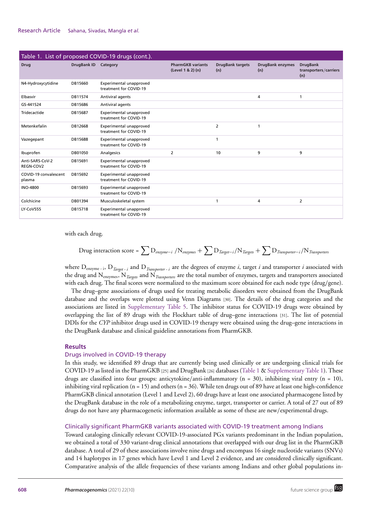| Table 1. List of proposed COVID-19 drugs (cont.). |             |                                                   |                                               |                                |                                |                                                 |  |
|---------------------------------------------------|-------------|---------------------------------------------------|-----------------------------------------------|--------------------------------|--------------------------------|-------------------------------------------------|--|
| <b>Drug</b>                                       | DrugBank ID | Category                                          | <b>PharmGKB variants</b><br>(Level 1 & 2) (n) | <b>DrugBank targets</b><br>(n) | <b>DrugBank enzymes</b><br>(n) | <b>DrugBank</b><br>transporters/carriers<br>(n) |  |
| N4-Hydroxycytidine                                | DB15660     | Experimental unapproved<br>treatment for COVID-19 |                                               |                                |                                |                                                 |  |
| Elbasvir                                          | DB11574     | Antiviral agents                                  |                                               |                                | 4                              |                                                 |  |
| GS-441524                                         | DB15686     | Antiviral agents                                  |                                               |                                |                                |                                                 |  |
| Tridecactide                                      | DB15687     | Experimental unapproved<br>treatment for COVID-19 |                                               |                                |                                |                                                 |  |
| Metenkefalin                                      | DB12668     | Experimental unapproved<br>treatment for COVID-19 |                                               | 2                              | $\mathbf{1}$                   |                                                 |  |
| Vazegepant                                        | DB15688     | Experimental unapproved<br>treatment for COVID-19 |                                               | $\mathbf 1$                    |                                |                                                 |  |
| Ibuprofen                                         | DB01050     | Analgesics                                        | 2                                             | 10                             | 9                              | 9                                               |  |
| Anti-SARS-CoV-2<br>REGN-COV2                      | DB15691     | Experimental unapproved<br>treatment for COVID-19 |                                               |                                |                                |                                                 |  |
| COVID-19 convalescent<br>plasma                   | DB15692     | Experimental unapproved<br>treatment for COVID-19 |                                               |                                |                                |                                                 |  |
| <b>INO-4800</b>                                   | DB15693     | Experimental unapproved<br>treatment for COVID-19 |                                               |                                |                                |                                                 |  |
| Colchicine                                        | DB01394     | Musculoskeletal system                            |                                               |                                | 4                              | 2                                               |  |
| LY-CoV555                                         | DB15718     | Experimental unapproved<br>treatment for COVID-19 |                                               |                                |                                |                                                 |  |

with each drug.

$$
Drug interaction score = \sum D_{\text{enzyme}-i} / N_{\text{enzynes}} + \sum D_{\text{Target}-i} / N_{\text{Target}} + \sum D_{\text{Transporter}-i} / N_{\text{Transporter}-i}
$$

where Denzyme - i, D*Target - i* and D*Transporter - i* are the degrees of enzyme *i*, target *i* and transporter *i* associated with the drug and Nenzymes, N*Targets* and N*Trasnporters* are the total number of enzymes, targets and transporters associated with each drug. The final scores were normalized to the maximum score obtained for each node type (drug/gene).

The drug–gene associations of drugs used for treating metabolic disorders were obtained from the DrugBank database and the overlaps were plotted using Venn Diagrams [30]. The details of the drug categories and the associations are listed in Supplementary Table 5. The inhibitor status for COVID-19 drugs were obtained by overlapping the list of 89 drugs with the Flockhart table of drug–gene interactions [31]. The list of potential DDIs for the *CYP* inhibitor drugs used in COVID-19 therapy were obtained using the drug–gene interactions in the DrugBank database and clinical guideline annotations from PharmGKB.

## **Results**

## Drugs involved in COVID-19 therapy

In this study, we identified 89 drugs that are currently being used clinically or are undergoing clinical trials for COVID-19 as listed in the PharmGKB [25] and DrugBank [26] databases (Table 1 & Supplementary Table 1). These drugs are classified into four groups: anticytokine/anti-inflammatory (n = 30), inhibiting viral entry (n = 10), inhibiting viral replication (n = 15) and others (n = 36). While ten drugs out of 89 have at least one high-confidence PharmGKB clinical annotation (Level 1 and Level 2), 60 drugs have at least one associated pharmacogene listed by the DrugBank database in the role of a metabolizing enzyme, target, transporter or carrier. A total of 27 out of 89 drugs do not have any pharmacogenetic information available as some of these are new/experimental drugs.

# Clinically significant PharmGKB variants associated with COVID-19 treatment among Indians

Toward cataloging clinically relevant COVID-19-associated PGx variants predominant in the Indian population, we obtained a total of 330 variant-drug clinical annotations that overlapped with our drug list in the PharmGKB database. A total of 29 of these associations involve nine drugs and encompass 16 single nucleotide variants (SNVs) and 14 haplotypes in 17 genes which have Level 1 and Level 2 evidence, and are considered clinically significant. Comparative analysis of the allele frequencies of these variants among Indians and other global populations in-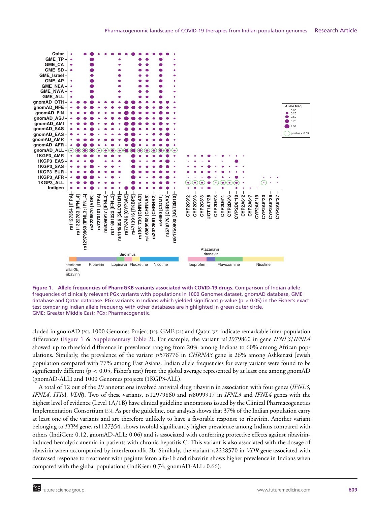

**Figure 1. Allele frequencies of PharmGKB variants associated with COVID-19 drugs.** Comparison of Indian allele frequencies of clinically relevant PGx variants with populations in 1000 Genomes dataset, gnomAD database, GME database and Qatar database. PGx variants in Indians which yielded significant p-value ( $p < 0.05$ ) in the Fisher's exact test comparing Indian allele frequency with other databases are highlighted in green outer circle. GME: Greater Middle East; PGx: Pharmacogenetic.

cluded in gnomAD [20], 1000 Genomes Project [19], GME [21] and Qatar [32] indicate remarkable inter-population differences (Figure 1 & Supplementary Table 2). For example, the variant rs12979860 in gene *IFNL3*/*IFNL4* showed up to threefold difference in prevalence ranging from 20% among Indians to 60% among African populations. Similarly, the prevalence of the variant rs578776 in *CHRNA3* gene is 26% among Ashkenazi Jewish population compared with 77% among East Asians. Indian allele frequencies for every variant were found to be significantly different (p < 0.05, Fisher's test) from the global average represented by at least one among gnomAD (gnomAD-ALL) and 1000 Genomes projects (1KGP3-ALL).

A total of 12 out of the 29 annotations involved antiviral drug ribavirin in association with four genes (*IFNL3*, *IFNL4*, *ITPA*, *VDR*). Two of these variants, rs12979860 and rs8099917 in *IFNL3* and *IFNL4* genes with the highest level of evidence (Level 1A/1B) have clinical guideline annotations issued by the Clinical Pharmacogenetics Implementation Consortium [33]. As per the guideline, our analysis shows that 37% of the Indian population carry at least one of the variants and are therefore unlikely to have a favorable response to ribavirin. Another variant belonging to *ITPA* gene, rs1127354, shows twofold significantly higher prevalence among Indians compared with others (IndiGen: 0.12, gnomAD-ALL: 0.06) and is associated with conferring protective effects against ribavirininduced hemolytic anemia in patients with chronic hepatitis C. This variant is also associated with the dosage of ribavirin when accompanied by interferon alfa-2b. Similarly, the variant rs2228570 in *VDR* gene associated with decreased response to treatment with peginterferon alfa-1b and ribavirin shows higher prevalence in Indians when compared with the global populations (IndiGen: 0.74; gnomAD-ALL: 0.66).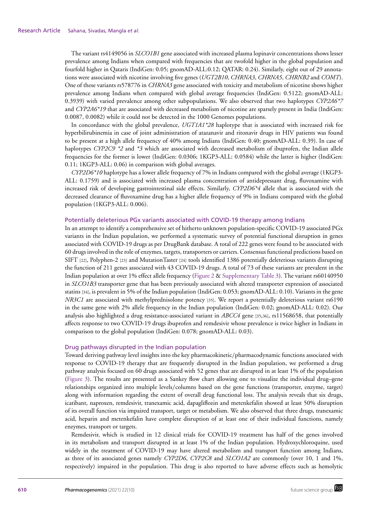The variant rs4149056 in *SLCO1B1* gene associated with increased plasma lopinavir concentrations shows lesser prevalence among Indians when compared with frequencies that are twofold higher in the global population and fourfold higher in Qataris (IndiGen: 0.05; gnomAD-ALL:0.12; QATAR: 0.24). Similarly, eight out of 29 annotations were associated with nicotine involving five genes (*UGT2B10*, *CHRNA3*, *CHRNA5*, *CHRNB2* and *COMT*). One of these variants rs578776 in *CHRNA3* gene associated with toxicity and metabolism of nicotine shows higher prevalence among Indians when compared with global average frequencies (IndiGen: 0.5122; gnomAD-ALL: 0.3939) with varied prevalence among other subpopulations. We also observed that two haplotypes *CYP2A6\*7* and *CYP2A6\*19* that are associated with decreased metabolism of nicotine are sparsely present in India (IndiGen: 0.0087, 0.0082) while it could not be detected in the 1000 Genomes populations.

In concordance with the global prevalence, *UGT1A1\*28* haplotype that is associated with increased risk for hyperbilirubinemia in case of joint administration of atazanavir and ritonavir drugs in HIV patients was found to be present at a high allele frequency of 40% among Indians (IndiGen: 0.40; gnomAD-ALL: 0.39). In case of haplotypes *CYP2C9 \*2* and *\*3* which are associated with decreased metabolism of ibuprofen, the Indian allele frequencies for the former is lower (IndiGen: 0.0306; 1KGP3-ALL: 0.0584) while the latter is higher (IndiGen: 0.11; 1KGP3-ALL: 0.06) in comparison with global averages.

*CYP2D6\*10* haplotype has a lower allele frequency of 7% in Indians compared with the global average (1KGP3- ALL: 0.1759) and is associated with increased plasma concentration of antidepressant drug, fluvoxamine with increased risk of developing gastrointestinal side effects. Similarly, *CYP2D6\*4* allele that is associated with the decreased clearance of fluvoxamine drug has a higher allele frequency of 9% in Indians compared with the global population (1KGP3-ALL: 0.006).

## Potentially deleterious PGx variants associated with COVID-19 therapy among Indians

In an attempt to identify a comprehensive set of hitherto unknown population-specific COVID-19 associated PGx variants in the Indian population, we performed a systematic survey of potential functional disruption in genes associated with COVID-19 drugs as per DrugBank database. A total of 222 genes were found to be associated with 60 drugs involved in the role of enzymes, targets, transporters or carriers. Consensus functional predictions based on SIFT [22], Polyphen-2 [23] and MutationTaster [24] tools identified 1386 potentially deleterious variants disrupting the function of 211 genes associated with 43 COVID-19 drugs. A total of 73 of these variants are prevalent in the Indian population at over 1% effect allele frequency (Figure 2 & Supplementary Table 3). The variant rs60140950 in *SLCO1B3* transporter gene that has been previously associated with altered transporter expression of associated statins [34], is prevalent in 5% of the Indian population (IndiGen: 0.053; gnomAD-ALL: 0.10). Variants in the gene *NR3C1* are associated with methylprednisolone potency [35]. We report a potentially deleterious variant rs6190 in the same gene with 2% allele frequency in the Indian population (IndiGen: 0.02; gnomAD-ALL: 0.02). Our analysis also highlighted a drug resistance-associated variant in *ABCC4* gene [35,36], rs11568658, that potentially affects response to two COVID-19 drugs ibuprofen and remdesivir whose prevalence is twice higher in Indians in comparison to the global population (IndiGen: 0.078; gnomAD-ALL: 0.03).

## Drug pathways disrupted in the Indian population

Toward deriving pathway level insights into the key pharmacokinetic/pharmacodynamic functions associated with response to COVID-19 therapy that are frequently disrupted in the Indian population, we performed a drug pathway analysis focused on 60 drugs associated with 52 genes that are disrupted in at least 1% of the population (Figure 3). The results are presented as a Sankey flow chart allowing one to visualize the individual drug–gene relationships organized into multiple levels/columns based on the gene functions (transporter, enzyme, target) along with information regarding the extent of overall drug functional loss. The analysis reveals that six drugs, icatibant, naproxen, remdesivir, tranexamic acid, dapagliflozin and metenkefalin showed at least 50% disruption of its overall function via impaired transport, target or metabolism. We also observed that three drugs, tranexamic acid, heparin and metenkefalin have complete disruption of at least one of their individual functions, namely enzymes, transport or targets.

Remdesivir, which is studied in 12 clinical trials for COVID-19 treatment has half of the genes involved in its metabolism and transport disrupted in at least 1% of the Indian population. Hydroxychloroquine, used widely in the treatment of COVID-19 may have altered metabolism and transport function among Indians, as three of its associated genes namely *CYP2D6*, *CYP2C8* and *SLCO1A2* are commonly (over 10, 1 and 1%, respectively) impaired in the population. This drug is also reported to have adverse effects such as hemolytic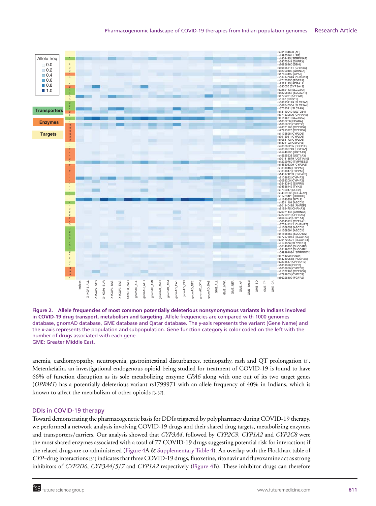



anemia, cardiomyopathy, neutropenia, gastrointestinal disturbances, retinopathy, rash and QT prolongation [3]. Metenkefalin, an investigational endogenous opioid being studied for treatment of COVID-19 is found to have 66% of function disruption as its sole metabolizing enzyme *CPA6* along with one out of its two target genes (*OPRM1*) has a potentially deleterious variant rs1799971 with an allele frequency of 40% in Indians, which is known to affect the metabolism of other opioids [3,37].

# DDIs in COVID-19 therapy

Toward demonstrating the pharmacogenetic basis for DDIs triggered by polypharmacy during COVID-19 therapy, we performed a network analysis involving COVID-19 drugs and their shared drug targets, metabolizing enzymes and transporters/carriers. Our analysis showed that *CYP3A4*, followed by *CYP2C9*, *CYP1A2* and *CYP2C8* were the most shared enzymes associated with a total of 77 COVID-19 drugs suggesting potential risk for interactions if the related drugs are co-administered (Figure 4A & Supplementary Table 4). An overlap with the Flockhart table of *CYP*–drug interactions [31] indicates that three COVID-19 drugs, fluoxetine, ritonavir and fluvoxamine act as strong inhibitors of *CYP2D6*, *CYP3A4*/*5*/*7* and *CYP1A2* respectively (Figure 4B). These inhibitor drugs can therefore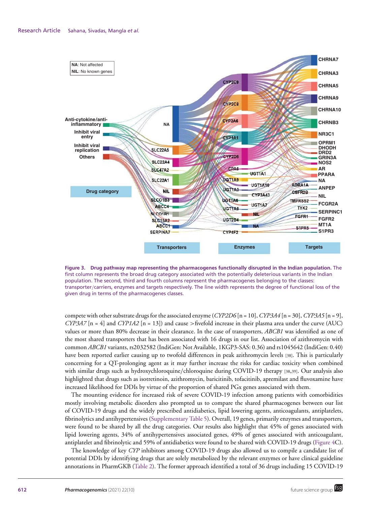

**Figure 3. Drug pathway map representing the pharmacogenes functionally disrupted in the Indian population.** The first column represents the broad drug category associated with the potentially deleterious variants in the Indian population. The second, third and fourth columns represent the pharmacogenes belonging to the classes: transporter/carriers, enzymes and targets respectively. The line width represents the degree of functional loss of the given drug in terms of the pharmacogenes classes.

compete with other substrate drugs for the associated enzyme (*CYP2D6* [n = 10], *CYP3A4* [n = 30], *CYP3A5* [n = 9], *CYP3A7* [n = 4] and *CYP1A2* [n = 13]) and cause >fivefold increase in their plasma area under the curve (AUC) values or more than 80% decrease in their clearance. In the case of transporters, *ABCB1* was identified as one of the most shared transporters that has been associated with 16 drugs in our list. Association of azithromycin with common *ABCB1* variants, rs2032582 (IndiGen: Not Available, 1KGP3-SAS: 0.36) and rs1045642 (IndiGen: 0.40) have been reported earlier causing up to twofold differences in peak azithromycin levels [38]. This is particularly concerning for a QT-prolonging agent as it may further increase the risks for cardiac toxicity when combined with similar drugs such as hydroxychloroquine/chloroquine during COVID-19 therapy [38,39]. Our analysis also highlighted that drugs such as isotretinoin, azithromycin, baricitinib, tofacitinib, apremilast and fluvoxamine have increased likelihood for DDIs by virtue of the proportion of shared PGx genes associated with them.

The mounting evidence for increased risk of severe COVID-19 infection among patients with comorbidities mostly involving metabolic disorders also prompted us to compare the shared pharmacogenes between our list of COVID-19 drugs and the widely prescribed antidiabetics, lipid lowering agents, anticoagulants, antiplatelets, fibrinolytics and antihypertensives (Supplementary Table 5). Overall, 19 genes, primarily enzymes and transporters, were found to be shared by all the drug categories. Our results also highlight that 45% of genes associated with lipid lowering agents, 34% of antihypertensives associated genes, 49% of genes associated with anticoagulant, antiplatelet and fibrinolytic and 59% of antidiabetics were found to be shared with COVID-19 drugs (Figure 4C).

The knowledge of key *CYP* inhibitors among COVID-19 drugs also allowed us to compile a candidate list of potential DDIs by identifying drugs that are solely metabolized by the relevant enzymes or have clinical guideline annotations in PharmGKB (Table 2). The former approach identified a total of 36 drugs including 15 COVID-19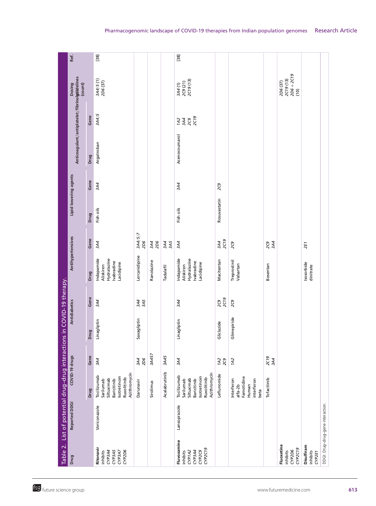| $\begin{bmatrix} 38 \end{bmatrix}$<br>$2D6 + 2C19$<br>2C19(13)<br>2C19(13)<br>2C9(21)<br>2D6(37)<br>3A4(1)<br>(10)<br>2C19<br>3A4<br>2C9<br>1A2<br>Acenocoumarol<br>3A4<br>2C9<br>Rosuvastatin<br>Fish oils<br>3A4/5/7<br><b>2C19</b><br>2D6<br>3A4<br>2D6<br>3A4<br>3A4<br>3A5<br>3A4<br>3A4<br>2C9<br>2C9<br>2E1<br>Lercanidipine<br>Hydralazine<br>Indapamide<br>Macitentan<br>Treprostinil<br>Ranolazine<br>Ivabradine<br>Lacidipine<br>Lacidipine<br>Isosorbide<br>Valsartan<br>Aliskiren<br>Bosentan<br>dinitrate<br>Tadalafil |
|--------------------------------------------------------------------------------------------------------------------------------------------------------------------------------------------------------------------------------------------------------------------------------------------------------------------------------------------------------------------------------------------------------------------------------------------------------------------------------------------------------------------------------------|
|                                                                                                                                                                                                                                                                                                                                                                                                                                                                                                                                      |
|                                                                                                                                                                                                                                                                                                                                                                                                                                                                                                                                      |
|                                                                                                                                                                                                                                                                                                                                                                                                                                                                                                                                      |
|                                                                                                                                                                                                                                                                                                                                                                                                                                                                                                                                      |
|                                                                                                                                                                                                                                                                                                                                                                                                                                                                                                                                      |
|                                                                                                                                                                                                                                                                                                                                                                                                                                                                                                                                      |
|                                                                                                                                                                                                                                                                                                                                                                                                                                                                                                                                      |
|                                                                                                                                                                                                                                                                                                                                                                                                                                                                                                                                      |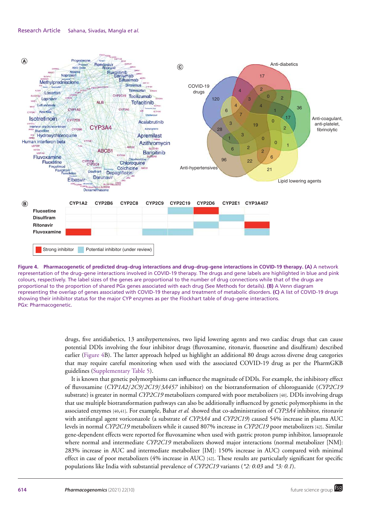#### Research Article Sahana, Sivadas, Mangla *et al.*



**Figure 4. Pharmacogenetic of predicted drug–drug interactions and drug–drug–gene interactions in COVID-19 therapy. (A)** A network representation of the drug–gene interactions involved in COVID-19 therapy. The drugs and gene labels are highlighted in blue and pink colours, respectively. The label sizes of the genes are proportional to the number of drug connections while that of the drugs are proportional to the proportion of shared PGx genes associated with each drug (See Methods for details). **(B)** A Venn diagram representing the overlap of genes associated with COVID-19 therapy and treatment of metabolic disorders. **(C)** A list of COVID-19 drugs showing their inhibitor status for the major CYP enzymes as per the Flockhart table of drug–gene interactions. PGx: Pharmacogenetic.

drugs, five antidiabetics, 13 antihypertensives, two lipid lowering agents and two cardiac drugs that can cause potential DDIs involving the four inhibitor drugs (fluvoxamine, ritonavir, fluoxetine and disulfiram) described earlier (Figure 4B). The latter approach helped us highlight an additional 80 drugs across diverse drug categories that may require careful monitoring when used with the associated COVID-19 drug as per the PharmGKB guidelines (Supplementary Table 5).

It is known that genetic polymorphisms can influence the magnitude of DDIs. For example, the inhibitory effect of fluvoxamine (*CYP1A2*/*2C9*/*2C19*/*3A457* inhibitor) on the biotransformation of chloroguanide (*CYP2C19* substrate) is greater in normal *CYP2C19* metabolizers compared with poor metabolizers [40]. DDIs involving drugs that use multiple biotransformation pathways can also be additionally influenced by genetic polymorphisms in the associated enzymes [40,41]. For example, Bahar *et al.* showed that co-administration of *CYP3A4* inhibitor, ritonavir with antifungal agent voriconazole (a substrate of *CYP3A4* and *CYP2C19*) caused 54% increase in plasma AUC levels in normal *CYP2C19* metabolizers while it caused 807% increase in *CYP2C19* poor metabolizers [42]. Similar gene-dependent effects were reported for fluvoxamine when used with gastric proton pump inhibitor, lansoprazole where normal and intermediate *CYP2C19* metabolizers showed major interactions (normal metabolizer [NM]: 283% increase in AUC and intermediate metabolizer [IM]: 150% increase in AUC) compared with minimal effect in case of poor metabolizers (4% increase in AUC) [42]. These results are particularly significant for specific populations like India with substantial prevalence of *CYP2C19* variants (*\*2: 0.03* and *\*3: 0.1*).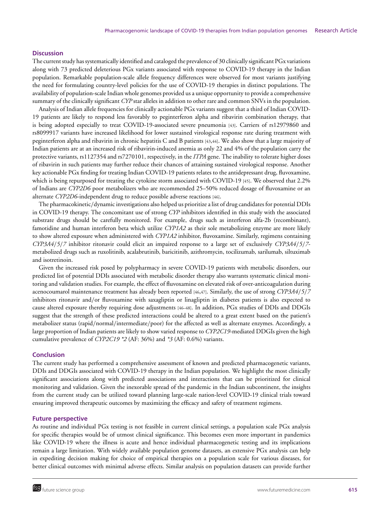## **Discussion**

The current study has systematically identified and cataloged the prevalence of 30 clinically significant PGx variations along with 73 predicted deleterious PGx variants associated with response to COVID-19 therapy in the Indian population. Remarkable population-scale allele frequency differences were observed for most variants justifying the need for formulating country-level policies for the use of COVID-19 therapies in distinct populations. The availability of population-scale Indian whole genomes provided us a unique opportunity to provide a comprehensive summary of the clinically significant *CYP* star alleles in addition to other rare and common SNVs in the population.

Analysis of Indian allele frequencies for clinically actionable PGx variants suggest that a third of Indian COVID-19 patients are likely to respond less favorably to peginterferon alpha and ribavirin combination therapy, that is being adopted especially to treat COVID-19-associated severe pneumonia [43]. Carriers of rs12979860 and rs8099917 variants have increased likelihood for lower sustained virological response rate during treatment with peginterferon alpha and ribavirin in chronic hepatitis C and B patients [43,44]. We also show that a large majority of Indian patients are at an increased risk of ribavirin-induced anemia as only 22 and 4% of the population carry the protective variants, rs1127354 and rs7270101, respectively, in the *ITPA* gene. The inability to tolerate higher doses of ribavirin in such patients may further reduce their chances of attaining sustained virological response. Another key actionable PGx finding for treating Indian COVID-19 patients relates to the antidepressant drug, fluvoxamine, which is being repurposed for treating the cytokine storm associated with COVID-19 [45]. We observed that 2.2% of Indians are *CYP2D6* poor metabolizers who are recommended 25–50% reduced dosage of fluvoxamine or an alternate *CYP2D6*-independent drug to reduce possible adverse reactions [46].

The pharmacokinetic/dynamic investigations also helped us prioritize a list of drug candidates for potential DDIs in COVID-19 therapy. The concomitant use of strong *CYP* inhibitors identified in this study with the associated substrate drugs should be carefully monitored. For example, drugs such as interferon alfa-2b (recombinant), famotidine and human interferon beta which utilize *CYP1A2* as their sole metabolizing enzyme are more likely to show altered exposure when administered with *CYP1A2* inhibitor, fluvoxamine. Similarly, regimens containing *CYP3A4*/*5*/*7* inhibitor ritonavir could elicit an impaired response to a large set of exclusively *CYP3A4*/*5*/*7* metabolized drugs such as ruxolitinib, acalabrutinib, baricitinib, azithromycin, tocilizumab, sarilumab, siltuximab and isotretinoin.

Given the increased risk posed by polypharmacy in severe COVID-19 patients with metabolic disorders, our predicted list of potential DDIs associated with metabolic disorder therapy also warrants systematic clinical monitoring and validation studies. For example, the effect of fluvoxamine on elevated risk of over-anticoagulation during acenocoumarol maintenance treatment has already been reported [46,47]. Similarly, the use of strong *CYP3A4*/*5*/*7* inhibitors ritonavir and/or fluvoxamine with saxagliptin or linagliptin in diabetes patients is also expected to cause altered exposure thereby requiring dose adjustments [46–48]. In addition, PGx studies of DDIs and DDGIs suggest that the strength of these predicted interactions could be altered to a great extent based on the patient's metabolizer status (rapid/normal/intermediate/poor) for the affected as well as alternate enzymes. Accordingly, a large proportion of Indian patients are likely to show varied response to *CYP2C19*-mediated DDGIs given the high cumulative prevalence of *CYP2C19 \*2* (AF: 36%) and *\*3* (AF: 0.6%) variants.

#### **Conclusion**

The current study has performed a comprehensive assessment of known and predicted pharmacogenetic variants, DDIs and DDGIs associated with COVID-19 therapy in the Indian population. We highlight the most clinically significant associations along with predicted associations and interactions that can be prioritized for clinical monitoring and validation. Given the inexorable spread of the pandemic in the Indian subcontinent, the insights from the current study can be utilized toward planning large-scale nation-level COVID-19 clinical trials toward ensuring improved therapeutic outcomes by maximizing the efficacy and safety of treatment regimens.

#### **Future perspective**

As routine and individual PGx testing is not feasible in current clinical settings, a population scale PGx analysis for specific therapies would be of utmost clinical significance. This becomes even more important in pandemics like COVID-19 where the illness is acute and hence individual pharmacogenetic testing and its implications remain a large limitation. With widely available population genome datasets, an extensive PGx analysis can help in expediting decision making for choice of empirical therapies on a population scale for various diseases, for better clinical outcomes with minimal adverse effects. Similar analysis on population datasets can provide further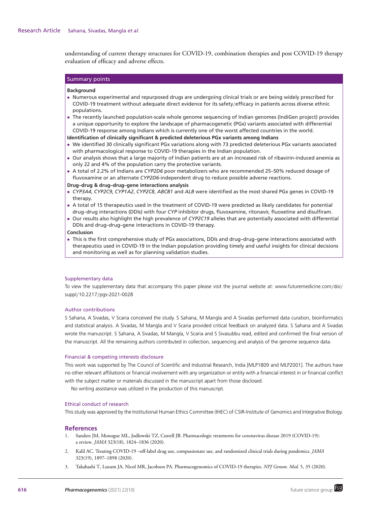understanding of current therapy structures for COVID-19, combination therapies and post COVID-19 therapy evaluation of efficacy and adverse effects.

# Summary points

#### **Background**

- Numerous experimental and repurposed drugs are undergoing clinical trials or are being widely prescribed for COVID-19 treatment without adequate direct evidence for its safety/efficacy in patients across diverse ethnic populations.
- The recently launched population-scale whole genome sequencing of Indian genomes (IndiGen project) provides a unique opportunity to explore the landscape of pharmacogenetic (PGx) variants associated with differential COVID-19 response among Indians which is currently one of the worst affected countries in the world.

**Identification of clinically significant & predicted deleterious PGx variants among Indians**

- We identified 30 clinically significant PGx variations along with 73 predicted deleterious PGx variants associated with pharmacological response to COVID-19 therapies in the Indian population.
- Our analysis shows that a large majority of Indian patients are at an increased risk of ribavirin-induced anemia as only 22 and 4% of the population carry the protective variants.
- A total of 2.2% of Indians are *CYP2D6* poor metabolizers who are recommended 25–50% reduced dosage of fluvoxamine or an alternate *CYP2D6*-independent drug to reduce possible adverse reactions.

#### **Drug–drug & drug–drug–gene interactions analysis**

- *CYP3A4*, *CYP2C9*, *CYP1A2*, *CYP2C8*, *ABCB1* and *ALB* were identified as the most shared PGx genes in COVID-19 therapy.
- A total of 15 therapeutics used in the treatment of COVID-19 were predicted as likely candidates for potential drug–drug interactions (DDIs) with four *CYP* inhibitor drugs, fluvoxamine, ritonavir, fluoxetine and disulfiram.
- Our results also highlight the high prevalence of *CYP2C19* alleles that are potentially associated with differential DDIs and drug–drug–gene interactions in COVID-19 therapy.

#### **Conclusion**

• This is the first comprehensive study of PGx associations, DDIs and drug–drug–gene interactions associated with therapeutics used in COVID-19 in the Indian population providing timely and useful insights for clinical decisions and monitoring as well as for planning validation studies.

## Supplementary data

To view the supplementary data that accompany this paper please visit the journal website at: www.futuremedicine.com/doi/ suppl/10.2217/pgs-2021-0028

## Author contributions

S Sahana, A Sivadas, V Scaria conceived the study. S Sahana, M Mangla and A Sivadas performed data curation, bioinformatics and statistical analysis. A Sivadas, M Mangla and V Scaria provided critical feedback on analyzed data. S Sahana and A Sivadas wrote the manuscript. S Sahana, A Sivadas, M Mangla, V Scaria and S Sivasubbu read, edited and confirmed the final version of the manuscript. All the remaining authors contributed in collection, sequencing and analysis of the genome sequence data.

## Financial & competing interests disclosure

This work was supported by The Council of Scientific and Industrial Research, India [MLP1809 and MLP2001]. The authors have no other relevant affiliations or financial involvement with any organization or entity with a financial interest in or financial conflict with the subject matter or materials discussed in the manuscript apart from those disclosed.

No writing assistance was utilized in the production of this manuscript.

## Ethical conduct of research

This study was approved by the Institutional Human Ethics Committee (IHEC) of CSIR-Institute of Genomics and Integrative Biology.

## **References**

- 1. Sanders JM, Monogue ML, Jodlowski TZ, Cutrell JB. Pharmacologic treatments for coronavirus disease 2019 (COVID-19): a review. *JAMA* 323(18), 1824–1836 (2020).
- 2. Kalil AC. Treating COVID-19 –off-label drug use, compassionate use, and randomized clinical trials during pandemics. *JAMA* 323(19), 1897–1898 (2020).
- 3. Takahashi T, Luzum JA, Nicol MR, Jacobson PA. Pharmacogenomics of COVID-19 therapies. *NPJ Genom. Med.* 5, 35 (2020).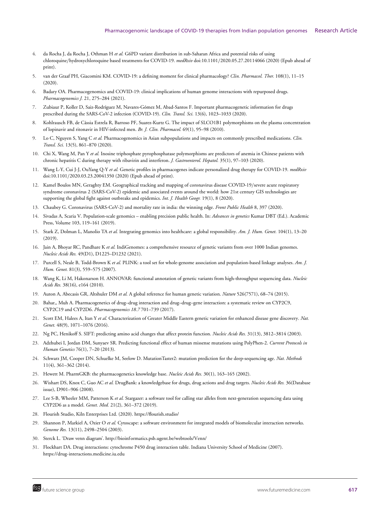- 4. da Rocha J, da Rocha J, Othman H *et al.* G6PD variant distribution in sub-Saharan Africa and potential risks of using chloroquine/hydroxychloroquine based treatments for COVID-19. *medRxiv* doi:10.1101/2020.05.27.20114066 (2020) (Epub ahead of print).
- 5. van der Graaf PH, Giacomini KM. COVID-19: a defining moment for clinical pharmacology? *Clin. Pharmacol. Ther.* 108(1), 11–15 (2020).
- 6. Badary OA. Pharmacogenomics and COVID-19: clinical implications of human genome interactions with repurposed drugs. *Pharmacogenomics J.* 21, 275–284 (2021).
- 7. Zubiaur P, Koller D, Saiz-Rodríguez M, Navares-Gómez M, Abad-Santos F. Important pharmacogenetic information for drugs prescribed during the SARS-CoV-2 infection (COVID-19). *Clin. Transl. Sci.* 13(6), 1023–1033 (2020).
- 8. Kohlrausch FB, de Cassia Estrela R, Barroso PF, Suarez-Kurtz G. The impact of SLCO1B1 polymorphisms on the plasma concentration ´ of lopinavir and ritonavir in HIV-infected men. *Br. J. Clin. Pharmacol.* 69(1), 95–98 (2010).
- 9. Lo C, Nguyen S, Yang C *et al.* Pharmacogenomics in Asian subpopulations and impacts on commonly prescribed medications. *Clin. Transl. Sci.* 13(5), 861–870 (2020).
- 10. Chi X, Wang M, Pan Y *et al.* Inosine triphosphate pyrophosphatase polymorphisms are predictors of anemia in Chinese patients with chronic hepatitis C during therapy with ribavirin and interferon. *J. Gastroenterol. Hepatol.* 35(1), 97–103 (2020).
- 11. Wang L-Y, Cui J-J, OuYang Q-Y *et al.* Genetic profiles in pharmacogenes indicate personalized drug therapy for COVID-19. *medRxiv* doi:10.1101/2020.03.23.20041350 (2020) (Epub ahead of print).
- 12. Kamel Boulos MN, Geraghty EM. Geographical tracking and mapping of coronavirus disease COVID-19/severe acute respiratory syndrome coronavirus 2 (SARS-CoV-2) epidemic and associated events around the world: how 21st century GIS technologies are supporting the global fight against outbreaks and epidemics. *Int. J. Health Geogr.* 19(1), 8 (2020).
- 13. Chaubey G. Coronavirus (SARS-CoV-2) and mortality rate in india: the winning edge. *Front Public Health* 8, 397 (2020).
- 14. Sivadas A, Scaria V. Population-scale genomics enabling precision public health. In: *Advances in genetics* Kumar DBT (Ed.). Academic Press, Volume 103, 119–161 (2019).
- 15. Stark Z, Dolman L, Manolio TA *et al.* Integrating genomics into healthcare: a global responsibility. *Am. J. Hum. Genet.* 104(1), 13–20 (2019).
- 16. Jain A, Bhoyar RC, Pandhare K *et al.* IndiGenomes: a comprehensive resource of genetic variants from over 1000 Indian genomes. *Nucleic Acids Res.* 49(D1), D1225–D1232 (2021).
- 17. Purcell S, Neale B, Todd-Brown K *et al.* PLINK: a tool set for whole-genome association and population-based linkage analyses. *Am. J. Hum. Genet.* 81(3), 559–575 (2007).
- 18. Wang K, Li M, Hakonarson H. ANNOVAR: functional annotation of genetic variants from high-throughput sequencing data. *Nucleic Acids Res.* 38(16), e164 (2010).
- 19. Auton A, Abecasis GR, Altshuler DM *et al.* A global reference for human genetic variation. *Nature* 526(7571), 68–74 (2015).
- 20. Bahar,, Muh A. Pharmacogenetics of drug–drug interaction and drug–drug–gene interaction: a systematic review on CYP2C9, CYP2C19 and CYP2D6. *Pharmacogenomics 18.7* 701–739 (2017).
- 21. Scott EM, Halees A, Itan Y *et al.* Characterization of Greater Middle Eastern genetic variation for enhanced disease gene discovery. *Nat. Genet.* 48(9), 1071–1076 (2016).
- 22. Ng PC, Henikoff S. SIFT: predicting amino acid changes that affect protein function. *Nucleic Acids Res.* 31(13), 3812–3814 (2003).
- 23. Adzhubei I, Jordan DM, Sunyaev SR. Predicting functional effect of human missense mutations using PolyPhen-2. *Current Protocols in Human Genetics* 76(1), 7–20 (2013).
- 24. Schwarz JM, Cooper DN, Schuelke M, Seelow D. MutationTaster2: mutation prediction for the deep-sequencing age. *Nat. Methods* 11(4), 361–362 (2014).
- 25. Hewett M. PharmGKB: the pharmacogenetics knowledge base. *Nucleic Acids Res.* 30(1), 163–165 (2002).
- 26. Wishart DS, Knox C, Guo AC *et al.* DrugBank: a knowledgebase for drugs, drug actions and drug targets. *Nucleic Acids Res.* 36(Database issue), D901–906 (2008).
- 27. Lee S-B, Wheeler MM, Patterson K *et al.* Stargazer: a software tool for calling star alleles from next-generation sequencing data using CYP2D6 as a model. *Genet. Med.* 21(2), 361–372 (2019).
- 28. Flourish Studio, Kiln Enterprises Ltd. (2020). https://flourish.studio/
- 29. Shannon P, Markiel A, Ozier O *et al.* Cytoscape: a software environment for integrated models of biomolecular interaction networks. *Genome Res.* 13(11), 2498–2504 (2003).
- 30. Sterck L. 'Draw venn diagram'. http://bioinformatics.psb.ugent.be/webtools/Venn/
- 31. Flockhart DA. Drug interactions: cytochrome P450 drug interaction table. Indiana University School of Medicine (2007). https://drug-interactions.medicine.iu.edu